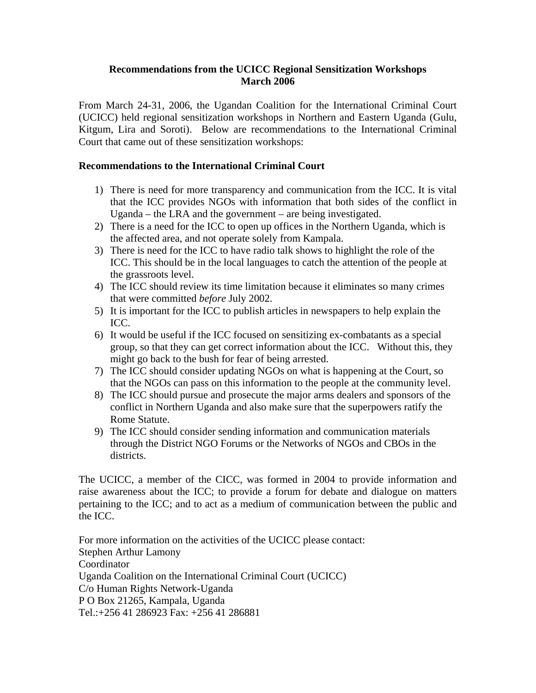## **Recommendations from the UCICC Regional Sensitization Workshops March 2006**

From March 24-31, 2006, the Ugandan Coalition for the International Criminal Court (UCICC) held regional sensitization workshops in Northern and Eastern Uganda (Gulu, Kitgum, Lira and Soroti). Below are recommendations to the International Criminal Court that came out of these sensitization workshops:

## **Recommendations to the International Criminal Court**

- 1) There is need for more transparency and communication from the ICC. It is vital that the ICC provides NGOs with information that both sides of the conflict in Uganda – the LRA and the government – are being investigated.
- 2) There is a need for the ICC to open up offices in the Northern Uganda, which is the affected area, and not operate solely from Kampala.
- 3) There is need for the ICC to have radio talk shows to highlight the role of the ICC. This should be in the local languages to catch the attention of the people at the grassroots level.
- 4) The ICC should review its time limitation because it eliminates so many crimes that were committed *before* July 2002.
- 5) It is important for the ICC to publish articles in newspapers to help explain the ICC.
- 6) It would be useful if the ICC focused on sensitizing ex-combatants as a special group, so that they can get correct information about the ICC. Without this, they might go back to the bush for fear of being arrested.
- 7) The ICC should consider updating NGOs on what is happening at the Court, so that the NGOs can pass on this information to the people at the community level.
- 8) The ICC should pursue and prosecute the major arms dealers and sponsors of the conflict in Northern Uganda and also make sure that the superpowers ratify the Rome Statute.
- 9) The ICC should consider sending information and communication materials through the District NGO Forums or the Networks of NGOs and CBOs in the districts.

The UCICC, a member of the CICC, was formed in 2004 to provide information and raise awareness about the ICC; to provide a forum for debate and dialogue on matters pertaining to the ICC; and to act as a medium of communication between the public and the ICC.

For more information on the activities of the UCICC please contact: Stephen Arthur Lamony Coordinator Uganda Coalition on the International Criminal Court (UCICC) C/o Human Rights Network-Uganda P O Box 21265, Kampala, Uganda Tel.:+256 41 286923 Fax: +256 41 286881